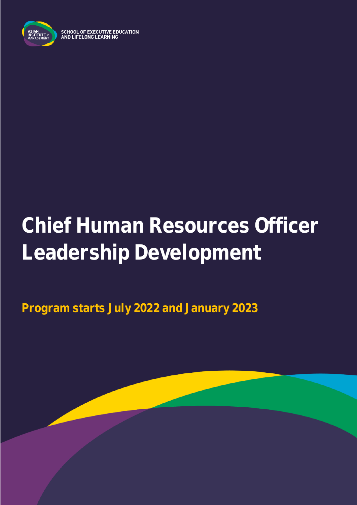

**SCHOOL OF EXECUTIVE EDUCATION<br>AND LIFELONG LEARNING** 

# **Chief Human Resources Officer Leadership Development**

**Program starts July 2022 and January 2023**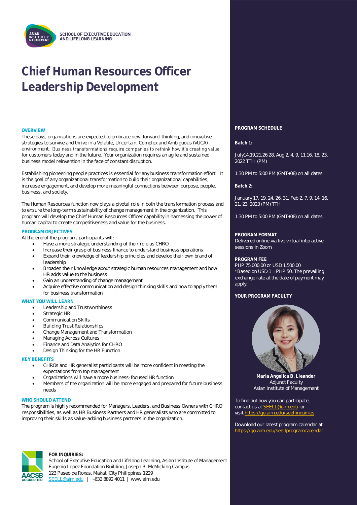## **Chief Human Resources Officer Leadership Development**

These days, organizations are expected to embrace new, forward-thinking, and innovative strategies to survive and thrive in a Volatile, Uncertain, Complex and Ambiguous (VUCA) environment. Business transformations require companies to rethink how it's creating value for customers today and in the future. Your organization requires an agile and sustained business model reinvention in the face of constant disruption.

Establishing pioneering people practices is essential for any business transformation effort. It is the goal of any organizational transformation to build their organizational capabilities, increase engagement, and develop more meaningful connections between purpose, people, business, and society.

The Human Resources function now plays a pivotal role in both the transformation process and to ensure the long-term sustainability of change management in the organization. This program will develop the Chief Human Resources Officer capability in harnessing the power of human capital to create competitiveness and value for the business.

#### **PROGRAM OBJECTIVES**

At the end of the program, participants will:

- Have a more strategic understanding of their role as CHRO
- Increase their grasp of business finance to understand business operations
- Expand their knowledge of leadership principles and develop their own brand of leadership
- Broaden their knowledge about strategic human resources management and how HR adds value to the business
- Gain an understanding of change management
- Acquire effective communication and design thinking skills and how to apply them for business transformation

#### **WHAT YOU WILL LEARN**

- Leadership and Trustworthiness
- Strategic HR
- Communication Skills
- Building Trust Relationships
- Change Management and Transformation
- Managing Across Cultures
- Finance and Data Analytics for CHRO
- Design Thinking for the HR Function

#### **KEY BENEFITS**

- CHROs and HR generalist participants will be more confident in meeting the expectations from top management
- Organizations will have a more business-focused HR function
- Members of the organization will be more engaged and prepared for future business needs

#### **WHO SHOULD ATTEND**

The program is highly recommended for Managers, Leaders, and Business Owners with CHRO responsibilities, as well as HR Business Partners and HR generalists who are committed to improving their skills as value-adding business partners in the organization.



**ACSR** 

#### **FOR INQUIRIES:**

School of Executive Education and Lifelong Learning, Asian Institute of Management Eugenio Lopez Foundation Building, Joseph R. McMicking Campus 123 Paseo de Roxas, Makati City Philippines 1229 [SEELL@aim.edu](mailto:SEELL@aim.edu) | +632 8892 4011 | www.aim.edu

### **OVERVIEW PROGRAM SCHEDULE**

**Batch 1:**

July14,19,21,26,28, Aug 2, 4, 9, 11,16, 18, 23, 2022 TTH (PM)

1:30 PM to 5:00 PM (GMT+08) on all dates

**Batch 2:** 

January 17, 19, 24, 26, 31, Feb 2, 7, 9, 14, 16, 21, 23, 2023 (PM) TTH

1:30 PM to 5:00 PM (GMT+08) on all dates

#### **PROGRAM FORMAT**

Delivered online via live virtual interactive sessions in Zoom

#### **PROGRAM FEE**

PHP 75,000.00 or USD 1,500.00 \*Based on USD 1 = PHP 50. The prevailing exchange rate at the date of payment may apply.

#### **YOUR PROGRAM FACULTY**



**Maria Angelica B. Lleander** Adjunct Faculty Asian Institute of Management

To find out how you can participate, contact us at **SEELL@aim.edu** or visit<https://go.aim.edu/seellinquiries>

Download our latest program calendar at <https://go.aim.edu/seellprogramcalendar>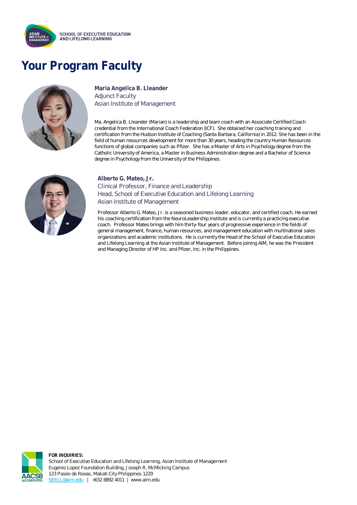

### **Your Program Faculty**



**Maria Angelica B. Lleander** Adjunct Faculty Asian Institute of Management

Ma. Angelica B. Lleander (Marian) is a leadership and team coach with an Associate Certified Coach credential from the International Coach Federation (ICF). She obtained her coaching training and certification from the Hudson Institute of Coaching (Santa Barbara, California) in 2012. She has been in the field of human resources development for more than 30 years, heading the country Human Resources functions of global companies such as Pfizer. She has a Master of Arts in Psychology degree from the Catholic University of America, a Master in Business Administration degree and a Bachelor of Science degree in Psychology from the University of the Philippines.



#### **Alberto G. Mateo, Jr.**  Clinical Professor, Finance and Leadership

Head, School of Executive Education and Lifelong Learning Asian Institute of Management

Professor Alberto G. Mateo, Jr. is a seasoned business leader, educator, and certified coach. He earned his coaching certification from the NeuroLeadership Institute and is currently a practicing executive coach. Professor Mateo brings with him thirty-four years of progressive experience in the fields of general management, finance, human resources, and management education with multinational sales organizations and academic institutions. He is currently the Head of the School of Executive Education and Lifelong Learning at the Asian Institute of Management. Before joining AIM, he was the President and Managing Director of HP Inc. and Pfizer, Inc. in the Philippines.



**FOR INQUIRIES:** School of Executive Education and Lifelong Learning, Asian Institute of Management Eugenio Lopez Foundation Building, Joseph R. McMicking Campus 123 Paseo de Roxas, Makati City Philippines 1229 [SEELL@aim.edu](mailto:SEELL@aim.edu) | +632 8892 4011 | www.aim.edu